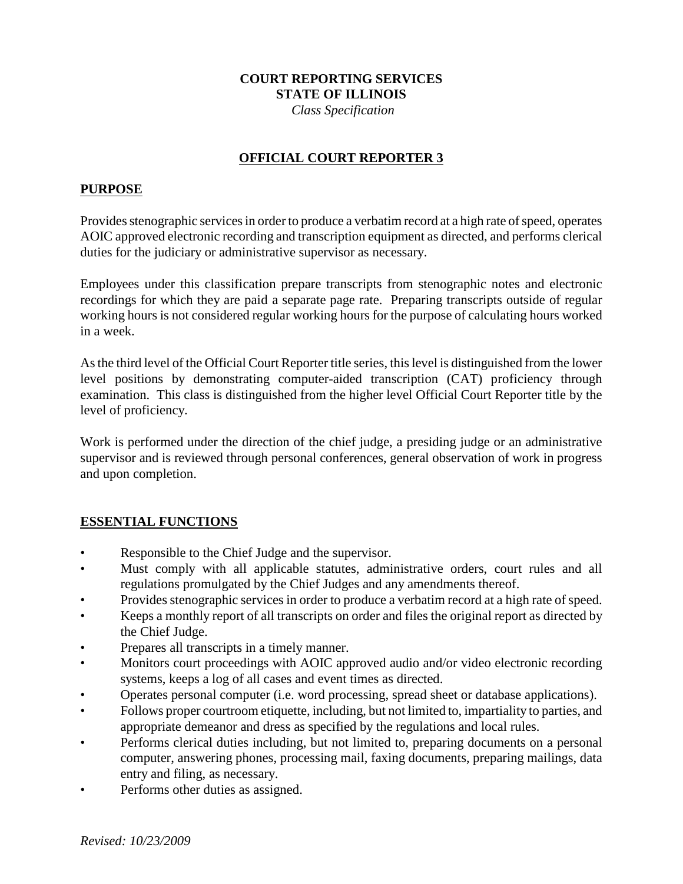## **COURT REPORTING SERVICES STATE OF ILLINOIS**

 *Class Specification*

### **OFFICIAL COURT REPORTER 3**

#### **PURPOSE**

Provides stenographic services in order to produce a verbatim record at a high rate of speed, operates AOIC approved electronic recording and transcription equipment as directed, and performs clerical duties for the judiciary or administrative supervisor as necessary.

Employees under this classification prepare transcripts from stenographic notes and electronic recordings for which they are paid a separate page rate. Preparing transcripts outside of regular working hours is not considered regular working hours for the purpose of calculating hours worked in a week.

As the third level of the Official Court Reporter title series, this level is distinguished from the lower level positions by demonstrating computer-aided transcription (CAT) proficiency through examination. This class is distinguished from the higher level Official Court Reporter title by the level of proficiency.

Work is performed under the direction of the chief judge, a presiding judge or an administrative supervisor and is reviewed through personal conferences, general observation of work in progress and upon completion.

### **ESSENTIAL FUNCTIONS**

- Responsible to the Chief Judge and the supervisor.
- Must comply with all applicable statutes, administrative orders, court rules and all regulations promulgated by the Chief Judges and any amendments thereof.
- Provides stenographic services in order to produce a verbatim record at a high rate of speed.
- Keeps a monthly report of all transcripts on order and files the original report as directed by the Chief Judge.
- Prepares all transcripts in a timely manner.
- Monitors court proceedings with AOIC approved audio and/or video electronic recording systems, keeps a log of all cases and event times as directed.
- Operates personal computer (i.e. word processing, spread sheet or database applications).
- Follows proper courtroom etiquette, including, but not limited to, impartiality to parties, and appropriate demeanor and dress as specified by the regulations and local rules.
- Performs clerical duties including, but not limited to, preparing documents on a personal computer, answering phones, processing mail, faxing documents, preparing mailings, data entry and filing, as necessary.
- Performs other duties as assigned.